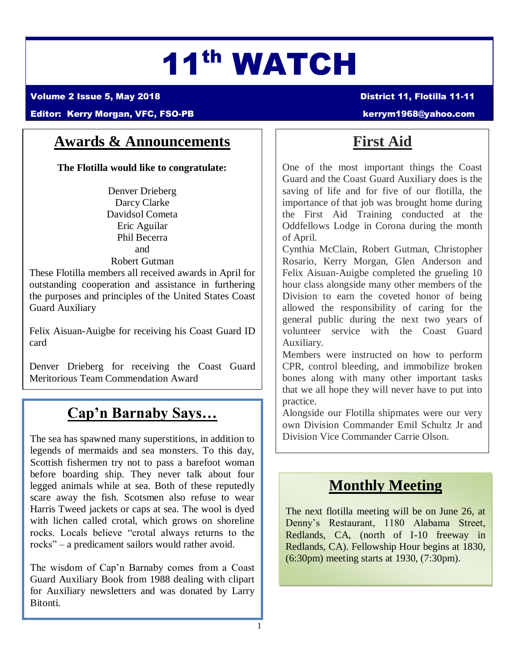# 11th WATCH

Volume 2 Issue 5, May 2018 District 11, Flotilla 11-11

#### Editor: Kerry Morgan, VFC, FSO-PB [kerrym1968@yahoo.com](mailto:kerrym1968@yahoo.com)

### **Awards & Announcements**

**The Flotilla would like to congratulate:**

Denver Drieberg Darcy Clarke Davidsol Cometa Eric Aguilar Phil Becerra and Robert Gutman

These Flotilla members all received awards in April for outstanding cooperation and assistance in furthering the purposes and principles of the United States Coast Guard Auxiliary

Felix Aisuan-Auigbe for receiving his Coast Guard ID card

Denver Drieberg for receiving the Coast Guard Meritorious Team Commendation Award

### **Cap'n Barnaby Says…**

The sea has spawned many superstitions, in addition to legends of mermaids and sea monsters. To this day, Scottish fishermen try not to pass a barefoot woman before boarding ship. They never talk about four legged animals while at sea. Both of these reputedly scare away the fish. Scotsmen also refuse to wear Harris Tweed jackets or caps at sea. The wool is dyed with lichen called crotal, which grows on shoreline rocks. Locals believe "crotal always returns to the rocks" – a predicament sailors would rather avoid.

The wisdom of Cap'n Barnaby comes from a Coast Guard Auxiliary Book from 1988 dealing with clipart for Auxiliary newsletters and was donated by Larry Bitonti.

## **First Aid**

One of the most important things the Coast Guard and the Coast Guard Auxiliary does is the saving of life and for five of our flotilla, the importance of that job was brought home during the First Aid Training conducted at the Oddfellows Lodge in Corona during the month of April.

Cynthia McClain, Robert Gutman, Christopher Rosario, Kerry Morgan, Glen Anderson and Felix Aisuan-Auigbe completed the grueling 10 hour class alongside many other members of the Division to earn the coveted honor of being allowed the responsibility of caring for the general public during the next two years of volunteer service with the Coast Guard Auxiliary.

Members were instructed on how to perform CPR, control bleeding, and immobilize broken bones along with many other important tasks that we all hope they will never have to put into practice.

Alongside our Flotilla shipmates were our very own Division Commander Emil Schultz Jr and Division Vice Commander Carrie Olson.

### **Monthly Meeting**

The next flotilla meeting will be on June 26, at Denny's Restaurant, 1180 Alabama Street, Redlands, CA, (north of I-10 freeway in Redlands, CA). Fellowship Hour begins at 1830, (6:30pm) meeting starts at 1930, (7:30pm).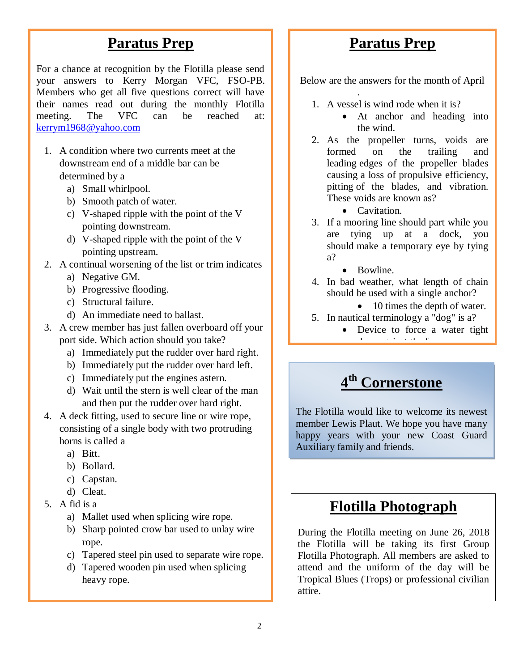### **Paratus Prep**

For a chance at recognition by the Flotilla please send your answers to Kerry Morgan VFC, FSO-PB. Members who get all five questions correct will have their names read out during the monthly Flotilla meeting. The VFC can be reached at: [kerrym1968@yahoo.com](mailto:kerrym1968@yahoo.com)

- 1. A condition where two currents meet at the downstream end of a middle bar can be determined by a
	- a) Small whirlpool.
	- b) Smooth patch of water.
	- c) V-shaped ripple with the point of the V pointing downstream.
	- d) V-shaped ripple with the point of the V pointing upstream.
- 2. A continual worsening of the list or trim indicates
	- a) Negative GM.
	- b) Progressive flooding.
	- c) Structural failure.
	- d) An immediate need to ballast.
- 3. A crew member has just fallen overboard off your port side. Which action should you take?
	- a) Immediately put the rudder over hard right.
	- b) Immediately put the rudder over hard left.
	- c) Immediately put the engines astern.
	- d) Wait until the stern is well clear of the man and then put the rudder over hard right.
- 4. A deck fitting, used to secure line or wire rope, consisting of a single body with two protruding horns is called a
	- a) Bitt.
	- b) Bollard.
	- c) Capstan.
	- d) Cleat.
- 5. A fid is a
	- a) Mallet used when splicing wire rope.
	- b) Sharp pointed crow bar used to unlay wire rope.
	- c) Tapered steel pin used to separate wire rope.
	- d) Tapered wooden pin used when splicing heavy rope.

### **Paratus Prep**

Below are the answers for the month of April

1. A vessel is wind rode when it is?

.

- At anchor and heading into the wind.
- 2. As the propeller turns, voids are formed on the trailing and leading edges of the propeller blades causing a loss of propulsive efficiency, pitting of the blades, and vibration. These voids are known as?
	- Cavitation.
- 3. If a mooring line should part while you are tying up at a dock, you should make a temporary eye by tying a?
	- Bowline.
- 4. In bad weather, what length of chain should be used with a single anchor?

• 10 times the depth of water.

- 5. In nautical terminology a "dog" is a?
	- Device to force a water tight door against the frame.

### **4 th Cornerstone**

The Flotilla would like to welcome its newest member Lewis Plaut. We hope you have many happy years with your new Coast Guard Auxiliary family and friends.

### **Flotilla Photograph**

During the Flotilla meeting on June 26, 2018 the Flotilla will be taking its first Group Flotilla Photograph. All members are asked to attend and the uniform of the day will be Tropical Blues (Trops) or professional civilian attire.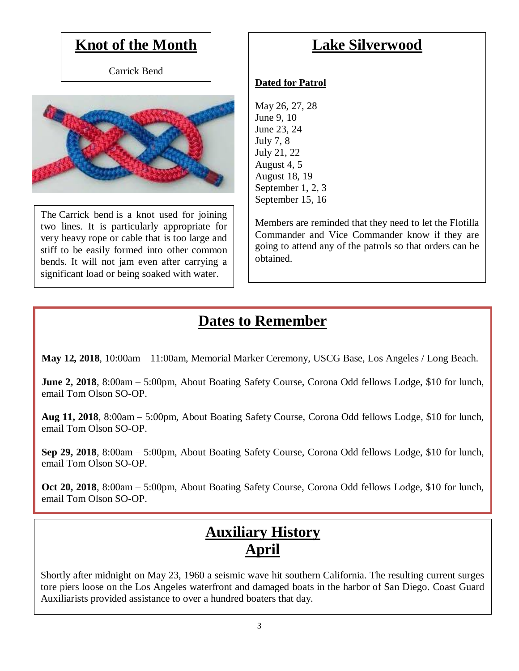### **Knot of the Month**

Carrick Bend



The Carrick bend is a knot used for joining two lines. It is particularly appropriate for very heavy rope or cable that is too large and stiff to be easily formed into other common bends. It will not jam even after carrying a significant load or being soaked with water.

### **Lake Silverwood**

### **Dated for Patrol**

May 26, 27, 28 June 9, 10 June 23, 24 July 7, 8 July 21, 22 August 4, 5 August 18, 19 September 1, 2, 3 September 15, 16

Members are reminded that they need to let the Flotilla Commander and Vice Commander know if they are going to attend any of the patrols so that orders can be obtained.

## **Dates to Remember**

**May 12, 2018**, 10:00am – 11:00am, Memorial Marker Ceremony, USCG Base, Los Angeles / Long Beach.

**June 2, 2018**, 8:00am – 5:00pm, About Boating Safety Course, Corona Odd fellows Lodge, \$10 for lunch, email Tom Olson SO-OP.

**Aug 11, 2018**, 8:00am – 5:00pm, About Boating Safety Course, Corona Odd fellows Lodge, \$10 for lunch, email Tom Olson SO-OP.

**Sep 29, 2018**, 8:00am – 5:00pm, About Boating Safety Course, Corona Odd fellows Lodge, \$10 for lunch, email Tom Olson SO-OP.

**Oct 20, 2018**, 8:00am – 5:00pm, About Boating Safety Course, Corona Odd fellows Lodge, \$10 for lunch, email Tom Olson SO-OP.

### **Auxiliary History April**

Shortly after midnight on May 23, 1960 a seismic wave hit southern California. The resulting current surges tore piers loose on the Los Angeles waterfront and damaged boats in the harbor of San Diego. Coast Guard Auxiliarists provided assistance to over a hundred boaters that day.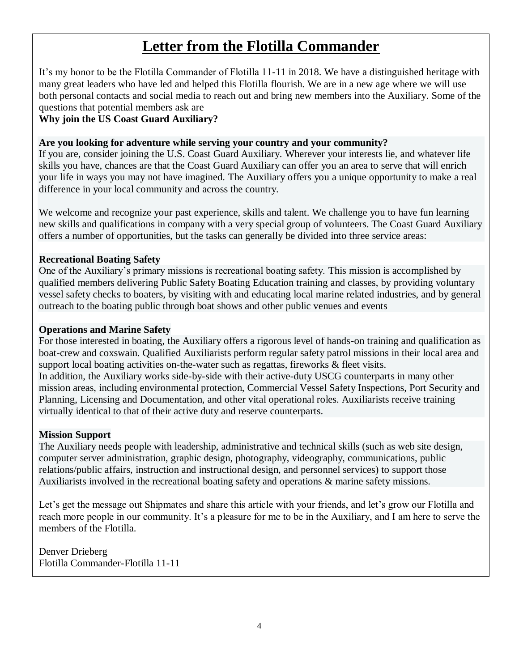### **Letter from the Flotilla Commander**

It's my honor to be the Flotilla Commander of Flotilla 11-11 in 2018. We have a distinguished heritage with many great leaders who have led and helped this Flotilla flourish. We are in a new age where we will use both personal contacts and social media to reach out and bring new members into the Auxiliary. Some of the questions that potential members ask are –

#### **Why join the US Coast Guard Auxiliary?**

#### **Are you looking for adventure while serving your country and your community?**

If you are, consider joining the U.S. Coast Guard Auxiliary. Wherever your interests lie, and whatever life skills you have, chances are that the Coast Guard Auxiliary can offer you an area to serve that will enrich your life in ways you may not have imagined. The Auxiliary offers you a unique opportunity to make a real difference in your local community and across the country.

We welcome and recognize your past experience, skills and talent. We challenge you to have fun learning new skills and qualifications in company with a very special group of volunteers. The Coast Guard Auxiliary offers a number of opportunities, but the tasks can generally be divided into three service areas:

#### **Recreational Boating Safety**

One of the Auxiliary's primary missions is recreational boating safety. This mission is accomplished by qualified members delivering Public Safety Boating Education training and classes, by providing voluntary vessel safety checks to boaters, by visiting with and educating local marine related industries, and by general outreach to the boating public through boat shows and other public venues and events

#### **Operations and Marine Safety**

For those interested in boating, the Auxiliary offers a rigorous level of hands-on training and qualification as boat-crew and coxswain. Qualified Auxiliarists perform regular safety patrol missions in their local area and support local boating activities on-the-water such as regattas, fireworks & fleet visits. In addition, the Auxiliary works side-by-side with their active-duty USCG counterparts in many other mission areas, including environmental protection, Commercial Vessel Safety Inspections, Port Security and Planning, Licensing and Documentation, and other vital operational roles. Auxiliarists receive training virtually identical to that of their active duty and reserve counterparts.

#### **Mission Support**

The Auxiliary needs people with leadership, administrative and technical skills (such as web site design, computer server administration, graphic design, photography, videography, communications, public relations/public affairs, instruction and instructional design, and personnel services) to support those Auxiliarists involved in the recreational boating safety and operations & marine safety missions.

Let's get the message out Shipmates and share this article with your friends, and let's grow our Flotilla and reach more people in our community. It's a pleasure for me to be in the Auxiliary, and I am here to serve the members of the Flotilla.

Denver Drieberg Flotilla Commander-Flotilla 11-11